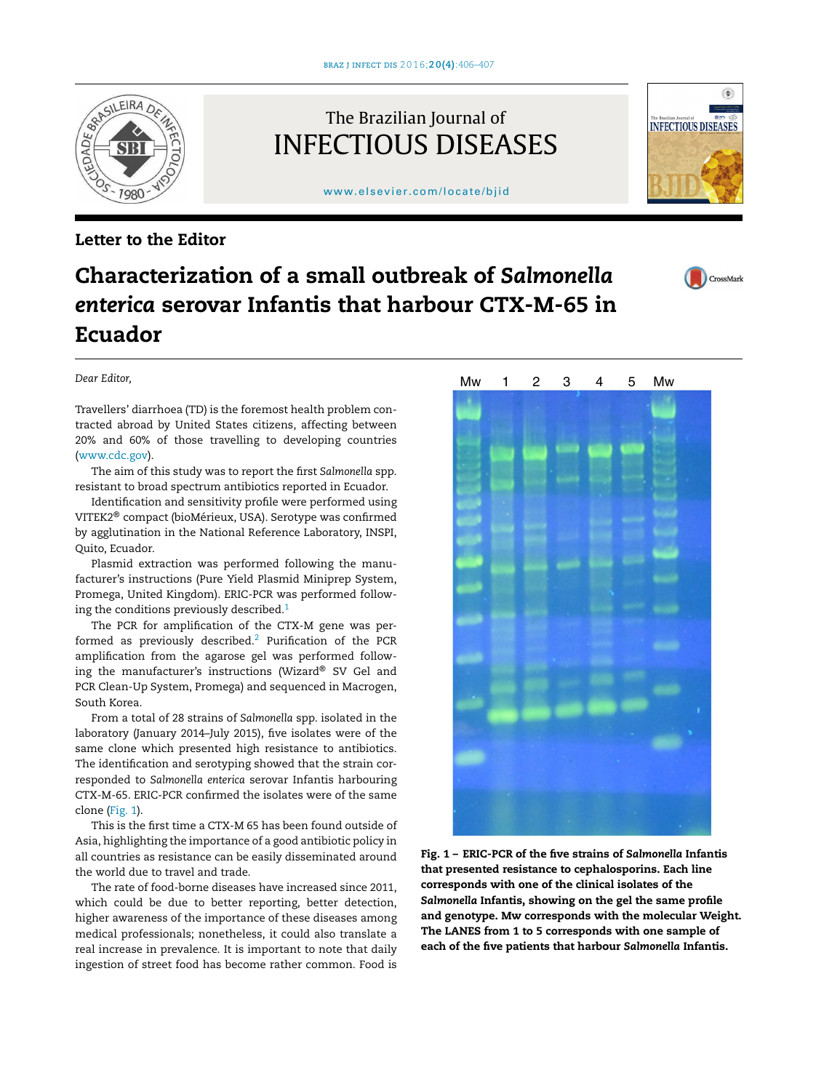The Brazilian Journal of INFECTIOUS DISEASES



# [www.elsevier.com/locate/bjid](http://www.elsevier.com/locate/bjid)

### Letter to the Editor

## Characterization of a small outbreak of *Salmonella enterica* serovar Infantis that harbour CTX-M-65 in Ecuador

#### *Dear Editor,*

Travellers' diarrhoea (TD) is the foremost health problem contracted abroad by United States citizens, affecting between 20% and 60% of those travelling to developing countries ([www.cdc.gov](http://www.cdc.gov/)).

The aim of this study was to report the first *Salmonella* spp. resistant to broad spectrum antibiotics reported in Ecuador.

Identification and sensitivity profile were performed using VITEK2® compact (bioMérieux, USA). Serotype was confirmed by agglutination in the National Reference Laboratory, INSPI, Quito, Ecuador.

Plasmid extraction was performed following the manufacturer's instructions (Pure Yield Plasmid Miniprep System, Promega, United Kingdom). ERIC-PCR was performed follow-ing the conditions previously described.<sup>[1](#page-1-0)</sup>

The PCR for amplification of the CTX-M gene was per-formed as previously described.<sup>[2](#page-1-0)</sup> Purification of the PCR amplification from the agarose gel was performed following the manufacturer's instructions (Wizard® SV Gel and PCR Clean-Up System, Promega) and sequenced in Macrogen, South Korea.

From a total of 28 strains of *Salmonella* spp. isolated in the laboratory (January 2014–July 2015), five isolates were of the same clone which presented high resistance to antibiotics. The identification and serotyping showed that the strain corresponded to *Salmonella enterica* serovar Infantis harbouring CTX-M-65. ERIC-PCR confirmed the isolates were of the same clone (Fig. 1).

This is the first time a CTX-M 65 has been found outside of Asia, highlighting the importance of a good antibiotic policy in all countries as resistance can be easily disseminated around the world due to travel and trade.

The rate of food-borne diseases have increased since 2011, which could be due to better reporting, better detection, higher awareness of the importance of these diseases among medical professionals; nonetheless, it could also translate a real increase in prevalence. It is important to note that daily ingestion of street food has become rather common. Food is



Fig. 1 – ERIC-PCR of the five strains of *Salmonella* Infantis that presented resistance to cephalosporins. Each line corresponds with one of the clinical isolates of the *Salmonella* Infantis, showing on the gel the same profile and genotype. Mw corresponds with the molecular Weight. The LANES from 1 to 5 corresponds with one sample of each of the five patients that harbour *Salmonella* Infantis.